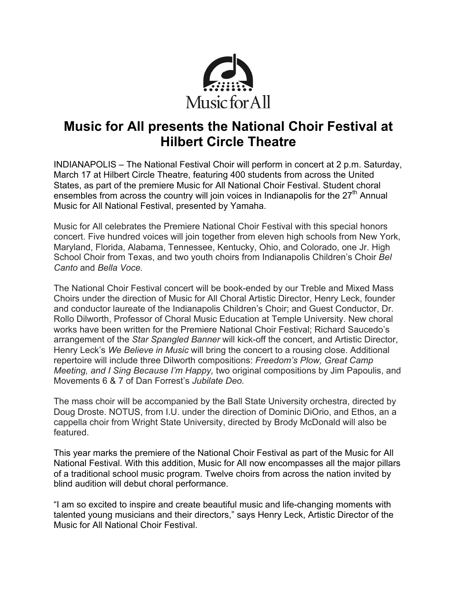

## **Music for All presents the National Choir Festival at Hilbert Circle Theatre**

INDIANAPOLIS – The National Festival Choir will perform in concert at 2 p.m. Saturday, March 17 at Hilbert Circle Theatre, featuring 400 students from across the United States, as part of the premiere Music for All National Choir Festival. Student choral ensembles from across the country will join voices in Indianapolis for the  $27<sup>th</sup>$  Annual Music for All National Festival, presented by Yamaha.

Music for All celebrates the Premiere National Choir Festival with this special honors concert. Five hundred voices will join together from eleven high schools from New York, Maryland, Florida, Alabama, Tennessee, Kentucky, Ohio, and Colorado, one Jr. High School Choir from Texas, and two youth choirs from Indianapolis Children's Choir *Bel Canto* and *Bella Voce.*

The National Choir Festival concert will be book-ended by our Treble and Mixed Mass Choirs under the direction of Music for All Choral Artistic Director, Henry Leck, founder and conductor laureate of the Indianapolis Children's Choir; and Guest Conductor, Dr. Rollo Dilworth, Professor of Choral Music Education at Temple University. New choral works have been written for the Premiere National Choir Festival; Richard Saucedo's arrangement of the *Star Spangled Banner* will kick-off the concert, and Artistic Director, Henry Leck's *We Believe in Music* will bring the concert to a rousing close. Additional repertoire will include three Dilworth compositions: *Freedom's Plow, Great Camp Meeting, and I Sing Because I'm Happy,* two original compositions by Jim Papoulis, and Movements 6 & 7 of Dan Forrest's *Jubilate Deo.*

The mass choir will be accompanied by the Ball State University orchestra, directed by Doug Droste. NOTUS, from I.U. under the direction of Dominic DiOrio, and Ethos, an a cappella choir from Wright State University, directed by Brody McDonald will also be featured.

This year marks the premiere of the National Choir Festival as part of the Music for All National Festival. With this addition, Music for All now encompasses all the major pillars of a traditional school music program. Twelve choirs from across the nation invited by blind audition will debut choral performance.

"I am so excited to inspire and create beautiful music and life-changing moments with talented young musicians and their directors," says Henry Leck, Artistic Director of the Music for All National Choir Festival.